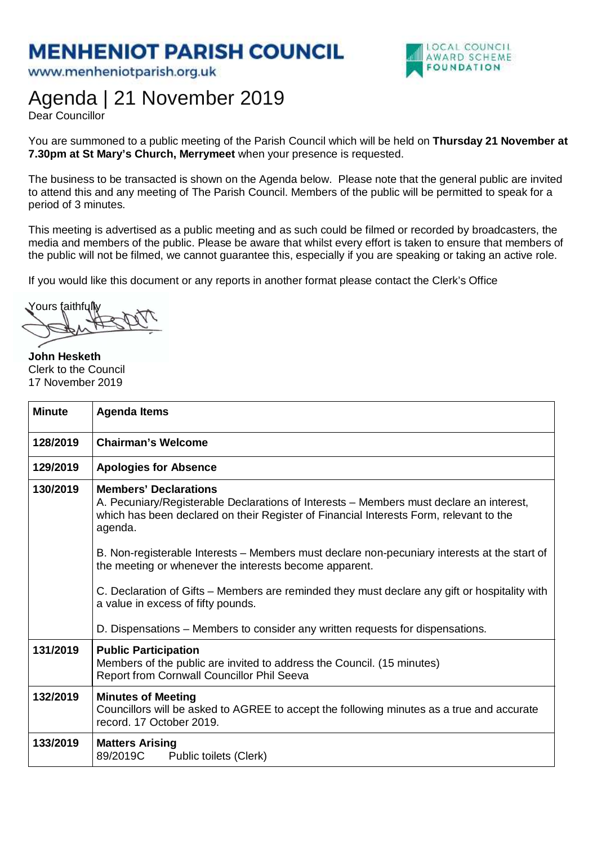## **MENHENIOT PARISH COUNCIL**

www.menheniotparish.org.uk



## Agenda | 21 November 2019

Dear Councillor

You are summoned to a public meeting of the Parish Council which will be held on **Thursday 21 November at 7.30pm at St Mary's Church, Merrymeet** when your presence is requested.

The business to be transacted is shown on the Agenda below. Please note that the general public are invited to attend this and any meeting of The Parish Council. Members of the public will be permitted to speak for a period of 3 minutes.

This meeting is advertised as a public meeting and as such could be filmed or recorded by broadcasters, the media and members of the public. Please be aware that whilst every effort is taken to ensure that members of the public will not be filmed, we cannot guarantee this, especially if you are speaking or taking an active role.

If you would like this document or any reports in another format please contact the Clerk's Office

Yours faithfully

**John Hesketh**  Clerk to the Council 17 November 2019

| <b>Minute</b> | <b>Agenda Items</b>                                                                                                                                                                                                                                                                                                                                                                                                                                                                                                                                                                                             |
|---------------|-----------------------------------------------------------------------------------------------------------------------------------------------------------------------------------------------------------------------------------------------------------------------------------------------------------------------------------------------------------------------------------------------------------------------------------------------------------------------------------------------------------------------------------------------------------------------------------------------------------------|
| 128/2019      | <b>Chairman's Welcome</b>                                                                                                                                                                                                                                                                                                                                                                                                                                                                                                                                                                                       |
| 129/2019      | <b>Apologies for Absence</b>                                                                                                                                                                                                                                                                                                                                                                                                                                                                                                                                                                                    |
| 130/2019      | <b>Members' Declarations</b><br>A. Pecuniary/Registerable Declarations of Interests – Members must declare an interest,<br>which has been declared on their Register of Financial Interests Form, relevant to the<br>agenda.<br>B. Non-registerable Interests – Members must declare non-pecuniary interests at the start of<br>the meeting or whenever the interests become apparent.<br>C. Declaration of Gifts – Members are reminded they must declare any gift or hospitality with<br>a value in excess of fifty pounds.<br>D. Dispensations – Members to consider any written requests for dispensations. |
| 131/2019      | <b>Public Participation</b><br>Members of the public are invited to address the Council. (15 minutes)<br>Report from Cornwall Councillor Phil Seeva                                                                                                                                                                                                                                                                                                                                                                                                                                                             |
| 132/2019      | <b>Minutes of Meeting</b><br>Councillors will be asked to AGREE to accept the following minutes as a true and accurate<br>record. 17 October 2019.                                                                                                                                                                                                                                                                                                                                                                                                                                                              |
| 133/2019      | <b>Matters Arising</b><br>89/2019C<br>Public toilets (Clerk)                                                                                                                                                                                                                                                                                                                                                                                                                                                                                                                                                    |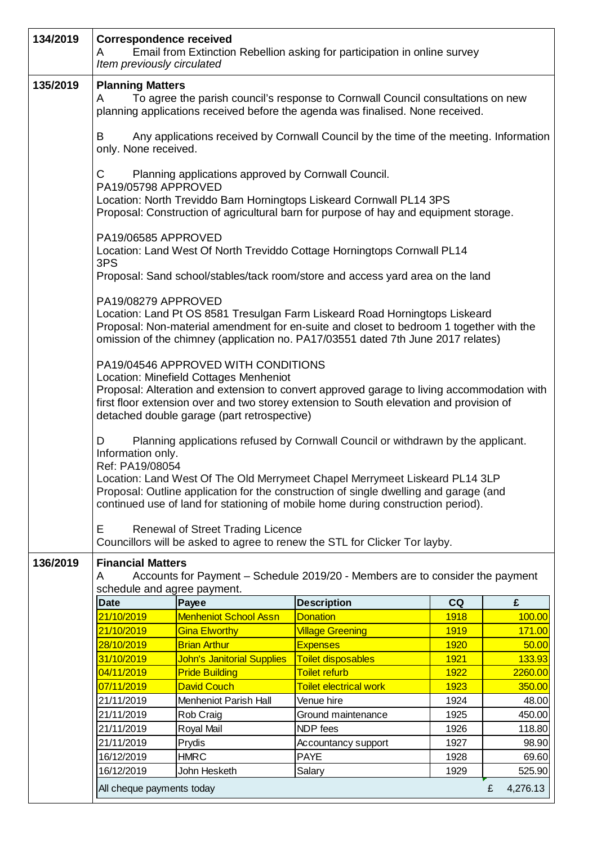| 134/2019 | <b>Correspondence received</b><br>A<br>Item previously circulated                                                                                                      |                                                                                                                              | Email from Extinction Rebellion asking for participation in online survey                                                                                                                                                                                                                                                                    |             |               |  |  |
|----------|------------------------------------------------------------------------------------------------------------------------------------------------------------------------|------------------------------------------------------------------------------------------------------------------------------|----------------------------------------------------------------------------------------------------------------------------------------------------------------------------------------------------------------------------------------------------------------------------------------------------------------------------------------------|-------------|---------------|--|--|
| 135/2019 | <b>Planning Matters</b>                                                                                                                                                |                                                                                                                              |                                                                                                                                                                                                                                                                                                                                              |             |               |  |  |
|          | To agree the parish council's response to Cornwall Council consultations on new<br>A<br>planning applications received before the agenda was finalised. None received. |                                                                                                                              |                                                                                                                                                                                                                                                                                                                                              |             |               |  |  |
|          | B<br>only. None received.                                                                                                                                              |                                                                                                                              | Any applications received by Cornwall Council by the time of the meeting. Information                                                                                                                                                                                                                                                        |             |               |  |  |
|          | C<br>PA19/05798 APPROVED                                                                                                                                               | Planning applications approved by Cornwall Council.                                                                          |                                                                                                                                                                                                                                                                                                                                              |             |               |  |  |
|          |                                                                                                                                                                        |                                                                                                                              | Location: North Treviddo Barn Horningtops Liskeard Cornwall PL14 3PS<br>Proposal: Construction of agricultural barn for purpose of hay and equipment storage.                                                                                                                                                                                |             |               |  |  |
|          | PA19/06585 APPROVED<br>3PS                                                                                                                                             |                                                                                                                              | Location: Land West Of North Treviddo Cottage Horningtops Cornwall PL14                                                                                                                                                                                                                                                                      |             |               |  |  |
|          |                                                                                                                                                                        |                                                                                                                              | Proposal: Sand school/stables/tack room/store and access yard area on the land                                                                                                                                                                                                                                                               |             |               |  |  |
|          | PA19/08279 APPROVED                                                                                                                                                    |                                                                                                                              | Location: Land Pt OS 8581 Tresulgan Farm Liskeard Road Horningtops Liskeard<br>Proposal: Non-material amendment for en-suite and closet to bedroom 1 together with the<br>omission of the chimney (application no. PA17/03551 dated 7th June 2017 relates)                                                                                   |             |               |  |  |
|          |                                                                                                                                                                        | PA19/04546 APPROVED WITH CONDITIONS<br>Location: Minefield Cottages Menheniot<br>detached double garage (part retrospective) | Proposal: Alteration and extension to convert approved garage to living accommodation with<br>first floor extension over and two storey extension to South elevation and provision of                                                                                                                                                        |             |               |  |  |
|          | D<br>Information only.<br>Ref: PA19/08054                                                                                                                              |                                                                                                                              | Planning applications refused by Cornwall Council or withdrawn by the applicant.<br>Location: Land West Of The Old Merrymeet Chapel Merrymeet Liskeard PL14 3LP<br>Proposal: Outline application for the construction of single dwelling and garage (and<br>continued use of land for stationing of mobile home during construction period). |             |               |  |  |
|          | E                                                                                                                                                                      | <b>Renewal of Street Trading Licence</b>                                                                                     | Councillors will be asked to agree to renew the STL for Clicker Tor layby.                                                                                                                                                                                                                                                                   |             |               |  |  |
| 136/2019 | <b>Financial Matters</b><br>A<br>schedule and agree payment.                                                                                                           |                                                                                                                              | Accounts for Payment - Schedule 2019/20 - Members are to consider the payment                                                                                                                                                                                                                                                                |             |               |  |  |
|          | <b>Date</b>                                                                                                                                                            | Payee                                                                                                                        | <b>Description</b>                                                                                                                                                                                                                                                                                                                           | CQ          | £             |  |  |
|          | 21/10/2019                                                                                                                                                             | <b>Menheniot School Assn</b>                                                                                                 | <b>Donation</b>                                                                                                                                                                                                                                                                                                                              | 1918        | 100.00        |  |  |
|          | 21/10/2019                                                                                                                                                             | <b>Gina Elworthy</b>                                                                                                         | <b>Village Greening</b>                                                                                                                                                                                                                                                                                                                      | <b>1919</b> | 171.00        |  |  |
|          | 28/10/2019                                                                                                                                                             | <b>Brian Arthur</b>                                                                                                          | <b>Expenses</b>                                                                                                                                                                                                                                                                                                                              | 1920        | 50.00         |  |  |
|          | 31/10/2019                                                                                                                                                             | <b>John's Janitorial Supplies</b>                                                                                            | <b>Toilet disposables</b>                                                                                                                                                                                                                                                                                                                    | 1921        | 133.93        |  |  |
|          | 04/11/2019                                                                                                                                                             | <b>Pride Building</b>                                                                                                        | <b>Toilet refurb</b>                                                                                                                                                                                                                                                                                                                         | 1922        | 2260.00       |  |  |
|          | 07/11/2019                                                                                                                                                             | <b>David Couch</b>                                                                                                           | <b>Toilet electrical work</b>                                                                                                                                                                                                                                                                                                                | 1923        | 350.00        |  |  |
|          | 21/11/2019                                                                                                                                                             | Menheniot Parish Hall                                                                                                        | Venue hire                                                                                                                                                                                                                                                                                                                                   | 1924        | 48.00         |  |  |
|          | 21/11/2019                                                                                                                                                             | Rob Craig                                                                                                                    | Ground maintenance                                                                                                                                                                                                                                                                                                                           | 1925        | 450.00        |  |  |
|          | 21/11/2019                                                                                                                                                             | Royal Mail                                                                                                                   | NDP fees                                                                                                                                                                                                                                                                                                                                     | 1926        | 118.80        |  |  |
|          | 21/11/2019                                                                                                                                                             | Prydis                                                                                                                       | Accountancy support                                                                                                                                                                                                                                                                                                                          | 1927        | 98.90         |  |  |
|          | 16/12/2019                                                                                                                                                             | <b>HMRC</b>                                                                                                                  | <b>PAYE</b>                                                                                                                                                                                                                                                                                                                                  | 1928        | 69.60         |  |  |
|          | 16/12/2019                                                                                                                                                             | John Hesketh                                                                                                                 | Salary                                                                                                                                                                                                                                                                                                                                       | 1929        | 525.90        |  |  |
|          | All cheque payments today                                                                                                                                              |                                                                                                                              |                                                                                                                                                                                                                                                                                                                                              |             | 4,276.13<br>£ |  |  |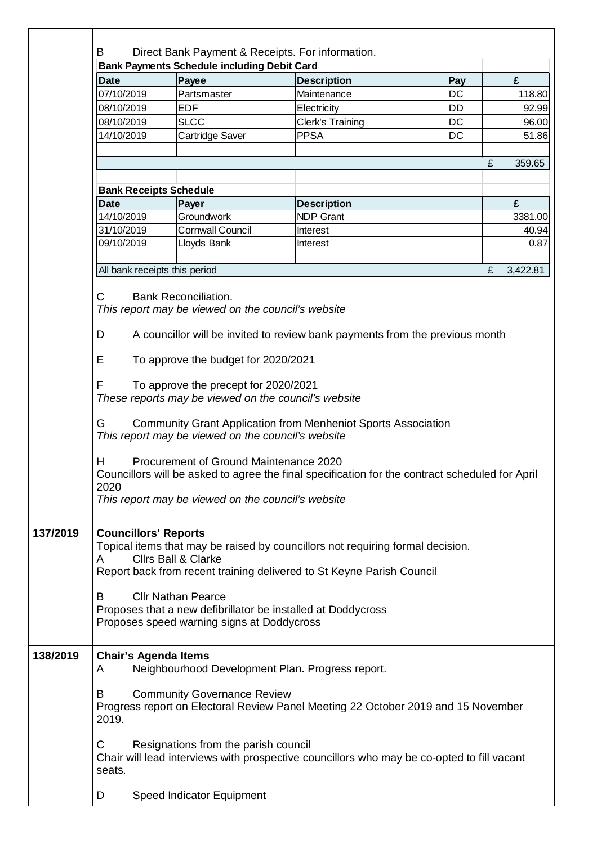|          | B                                                                                                                                     | Direct Bank Payment & Receipts. For information.                                                          |                                                                                                                                                                                                                         |     |             |  |  |  |
|----------|---------------------------------------------------------------------------------------------------------------------------------------|-----------------------------------------------------------------------------------------------------------|-------------------------------------------------------------------------------------------------------------------------------------------------------------------------------------------------------------------------|-----|-------------|--|--|--|
|          |                                                                                                                                       | <b>Bank Payments Schedule including Debit Card</b>                                                        |                                                                                                                                                                                                                         |     |             |  |  |  |
|          | <b>Date</b>                                                                                                                           | Payee                                                                                                     | <b>Description</b>                                                                                                                                                                                                      | Pay | £           |  |  |  |
|          | 07/10/2019                                                                                                                            | Partsmaster                                                                                               | Maintenance                                                                                                                                                                                                             | DC  | 118.80      |  |  |  |
|          | 08/10/2019                                                                                                                            | <b>EDF</b>                                                                                                | Electricity                                                                                                                                                                                                             | DD  | 92.99       |  |  |  |
|          | 08/10/2019                                                                                                                            | <b>SLCC</b>                                                                                               | <b>Clerk's Training</b>                                                                                                                                                                                                 | DC  | 96.00       |  |  |  |
|          | 14/10/2019                                                                                                                            | Cartridge Saver                                                                                           | <b>PPSA</b>                                                                                                                                                                                                             | DC  | 51.86       |  |  |  |
|          |                                                                                                                                       |                                                                                                           |                                                                                                                                                                                                                         |     | £<br>359.65 |  |  |  |
|          | <b>Bank Receipts Schedule</b>                                                                                                         |                                                                                                           |                                                                                                                                                                                                                         |     |             |  |  |  |
|          | <b>Date</b>                                                                                                                           | Payer                                                                                                     | <b>Description</b>                                                                                                                                                                                                      |     | £           |  |  |  |
|          | 14/10/2019                                                                                                                            | Groundwork                                                                                                | <b>NDP Grant</b>                                                                                                                                                                                                        |     | 3381.00     |  |  |  |
|          | 31/10/2019                                                                                                                            | <b>Cornwall Council</b>                                                                                   | Interest                                                                                                                                                                                                                |     | 40.94       |  |  |  |
|          | 09/10/2019                                                                                                                            | Lloyds Bank                                                                                               | Interest                                                                                                                                                                                                                |     | 0.87        |  |  |  |
|          |                                                                                                                                       |                                                                                                           |                                                                                                                                                                                                                         |     |             |  |  |  |
|          | All bank receipts this period<br>£<br>3,422.81                                                                                        |                                                                                                           |                                                                                                                                                                                                                         |     |             |  |  |  |
|          | C                                                                                                                                     | <b>Bank Reconciliation.</b><br>This report may be viewed on the council's website                         |                                                                                                                                                                                                                         |     |             |  |  |  |
|          | D                                                                                                                                     |                                                                                                           | A councillor will be invited to review bank payments from the previous month                                                                                                                                            |     |             |  |  |  |
|          | E                                                                                                                                     | To approve the budget for 2020/2021                                                                       |                                                                                                                                                                                                                         |     |             |  |  |  |
|          | F<br>To approve the precept for 2020/2021<br>These reports may be viewed on the council's website                                     |                                                                                                           |                                                                                                                                                                                                                         |     |             |  |  |  |
|          | G                                                                                                                                     | This report may be viewed on the council's website                                                        | <b>Community Grant Application from Menheniot Sports Association</b>                                                                                                                                                    |     |             |  |  |  |
|          | н<br>2020                                                                                                                             | Procurement of Ground Maintenance 2020<br>This report may be viewed on the council's website              | Councillors will be asked to agree the final specification for the contract scheduled for April                                                                                                                         |     |             |  |  |  |
| 137/2019 | <b>Councillors' Reports</b><br>A<br>B                                                                                                 | <b>Clirs Ball &amp; Clarke</b><br><b>Cllr Nathan Pearce</b><br>Proposes speed warning signs at Doddycross | Topical items that may be raised by councillors not requiring formal decision.<br>Report back from recent training delivered to St Keyne Parish Council<br>Proposes that a new defibrillator be installed at Doddycross |     |             |  |  |  |
| 138/2019 | <b>Chair's Agenda Items</b><br>Neighbourhood Development Plan. Progress report.<br>A                                                  |                                                                                                           |                                                                                                                                                                                                                         |     |             |  |  |  |
|          | <b>Community Governance Review</b><br>B<br>Progress report on Electoral Review Panel Meeting 22 October 2019 and 15 November<br>2019. |                                                                                                           |                                                                                                                                                                                                                         |     |             |  |  |  |
|          | С<br>seats.                                                                                                                           | Resignations from the parish council                                                                      | Chair will lead interviews with prospective councillors who may be co-opted to fill vacant                                                                                                                              |     |             |  |  |  |
|          | D                                                                                                                                     | Speed Indicator Equipment                                                                                 |                                                                                                                                                                                                                         |     |             |  |  |  |